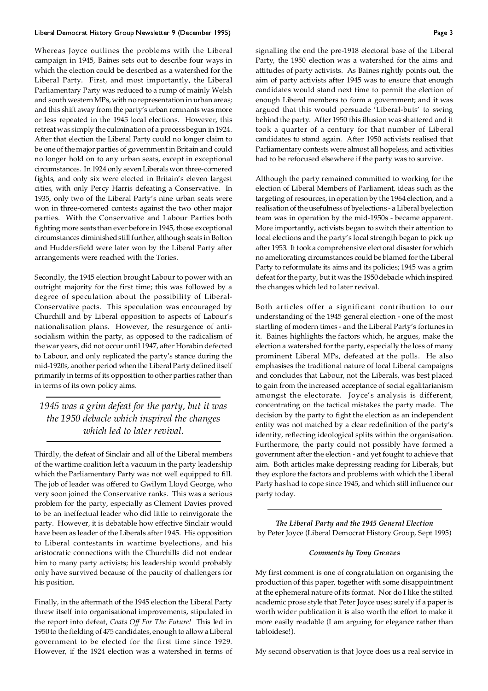## Liberal Democrat History Group Newsletter 9 (December 1995) Page 3

Whereas Joyce outlines the problems with the Liberal campaign in 1945, Baines sets out to describe four ways in which the election could be described as a watershed for the Liberal Party. First, and most importantly, the Liberal Parliamentary Party was reduced to a rump of mainly Welsh and south western MPs, with no representation in urban areas; and this shift away from the party's urban remnants was more or less repeated in the 1945 local elections. However, this retreat was simply the culmination of a process begun in 1924. After that election the Liberal Party could no longer claim to be one of the major parties of government in Britain and could no longer hold on to any urban seats, except in exceptional circumstances. In 1924 only seven Liberals won three-cornered fights, and only six were elected in Britain's eleven largest cities, with only Percy Harris defeating a Conservative. In 1935, only two of the Liberal Party's nine urban seats were won in three-cornered contests against the two other major parties. With the Conservative and Labour Parties both fighting more seats than ever before in 1945, those exceptional circumstances diminished still further, although seats in Bolton and Huddersfield were later won by the Liberal Party after arrangements were reached with the Tories.

Secondly, the 1945 election brought Labour to power with an outright majority for the first time; this was followed by a degree of speculation about the possibility of Liberal-Conservative pacts. This speculation was encouraged by Churchill and by Liberal opposition to aspects of Labour's nationalisation plans. However, the resurgence of antisocialism within the party, as opposed to the radicalism of the war years, did not occur until 1947, after Horabin defected to Labour, and only replicated the party's stance during the mid-1920s, another period when the Liberal Party defined itself primarily in terms of its opposition to other parties rather than in terms of its own policy aims.

*1945 was a grim defeat for the party, but it was the 1950 debacle which inspired the changes which led to later revival.*

Thirdly, the defeat of Sinclair and all of the Liberal members of the wartime coalition left a vacuum in the party leadership which the Parliamentary Party was not well equipped to fill. The job of leader was offered to Gwilym Lloyd George, who very soon joined the Conservative ranks. This was a serious problem for the party, especially as Clement Davies proved to be an ineffectual leader who did little to reinvigorate the party. However, it is debatable how effective Sinclair would have been as leader of the Liberals after 1945. His opposition to Liberal contestants in wartime byelections, and his aristocratic connections with the Churchills did not endear him to many party activists; his leadership would probably only have survived because of the paucity of challengers for his position.

Finally, in the aftermath of the 1945 election the Liberal Party threw itself into organisational improvements, stipulated in the report into defeat, *Coats Off For The Future!* This led in 1950 to the fielding of 475 candidates, enough to allow a Liberal government to be elected for the first time since 1929. However, if the 1924 election was a watershed in terms of signalling the end the pre-1918 electoral base of the Liberal Party, the 1950 election was a watershed for the aims and attitudes of party activists. As Baines rightly points out, the aim of party activists after 1945 was to ensure that enough candidates would stand next time to permit the election of enough Liberal members to form a government; and it was argued that this would persuade 'Liberal-buts' to swing behind the party. After 1950 this illusion was shattered and it took a quarter of a century for that number of Liberal candidates to stand again. After 1950 activists realised that Parliamentary contests were almost all hopeless, and activities had to be refocused elsewhere if the party was to survive.

Although the party remained committed to working for the election of Liberal Members of Parliament, ideas such as the targeting of resources, in operation by the 1964 election, and a realisation of the usefulness of byelections - a Liberal byelection team was in operation by the mid-1950s - became apparent. More importantly, activists began to switch their attention to local elections and the party's local strength began to pick up after 1953. It took a comprehensive electoral disaster for which no ameliorating circumstances could be blamed for the Liberal Party to reformulate its aims and its policies; 1945 was a grim defeat for the party, but it was the 1950 debacle which inspired the changes which led to later revival.

Both articles offer a significant contribution to our understanding of the 1945 general election - one of the most startling of modern times - and the Liberal Party's fortunes in it. Baines highlights the factors which, he argues, make the election a watershed for the party, especially the loss of many prominent Liberal MPs, defeated at the polls. He also emphasises the traditional nature of local Liberal campaigns and concludes that Labour, not the Liberals, was best placed to gain from the increased acceptance of social egalitarianism amongst the electorate. Joyce's analysis is different, concentrating on the tactical mistakes the party made. The decision by the party to fight the election as an independent entity was not matched by a clear redefinition of the party's identity, reflecting ideological splits within the organisation. Furthermore, the party could not possibly have formed a government after the election - and yet fought to achieve that aim. Both articles make depressing reading for Liberals, but they explore the factors and problems with which the Liberal Party has had to cope since 1945, and which still influence our party today.

*The Liberal Party and the 1945 General Election* by Peter Joyce (Liberal Democrat History Group, Sept 1995)

## *Comments by Tony Greaves*

My first comment is one of congratulation on organising the production of this paper, together with some disappointment at the ephemeral nature of its format. Nor do I like the stilted academic prose style that Peter Joyce uses; surely if a paper is worth wider publication it is also worth the effort to make it more easily readable (I am arguing for elegance rather than tabloidese!).

My second observation is that Joyce does us a real service in